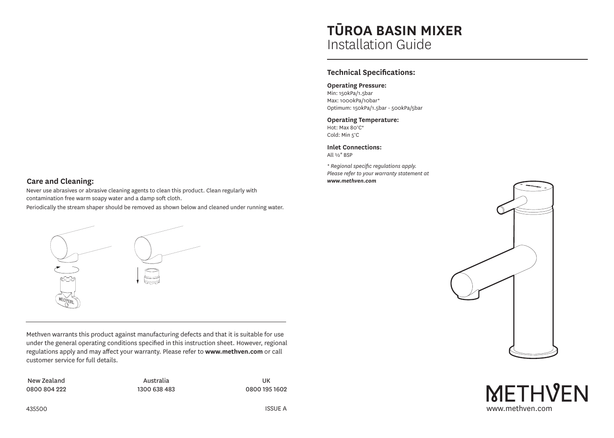#### **Care and Cleaning:**

Never use abrasives or abrasive cleaning agents to clean this product. Clean regularly with contamination free warm soapy water and a damp soft cloth.

Periodically the stream shaper should be removed as shown below and cleaned under running water.



Methven warrants this product against manufacturing defects and that it is suitable for use under the general operating conditions specified in this instruction sheet. However, regional regulations apply and may affect your warranty. Please refer to **www.methven.com** or call customer service for full details.

New Zealand 0800 804 222

Australia 1300 638 483

UK 0800 195 1602

# **TŪROA BASIN MIXER** Installation Guide

## **Technical Specifications:**

#### **Operating Pressure:**

Min: 150kPa/1.5bar Max: 1000kPa/10bar\* Optimum: 150kPa/1.5bar - 500kPa/5bar

#### **Operating Temperature:**

Hot: Max 80°C\* Cold: Min 5°C

**Inlet Connections:**

All ½" BSP

*\* Regional specific regulations apply. Please refer to your warranty statement at www.methven.com*